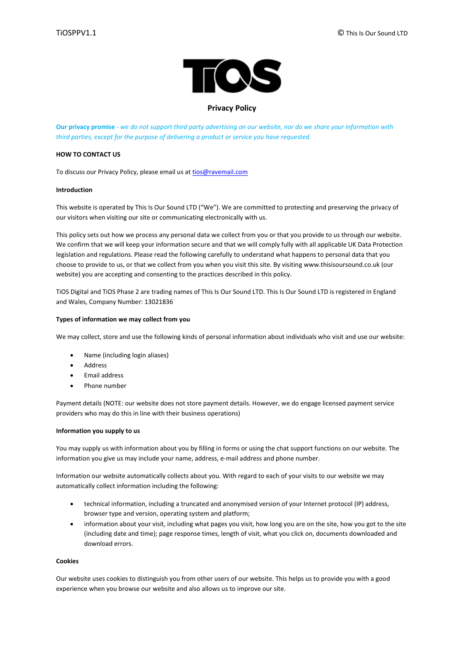

# **Privacy Policy**

**Our privacy promise** - *we do not support third party advertising on our website, nor do we share your information with third parties, except for the purpose of delivering a product or service you have requested.*

### **HOW TO CONTACT US**

To discuss our Privacy Policy, please email us at [tios@ravemail.com](mailto:tios@ravemail.com)

### **Introduction**

This website is operated by This Is Our Sound LTD ("We"). We are committed to protecting and preserving the privacy of our visitors when visiting our site or communicating electronically with us.

This policy sets out how we process any personal data we collect from you or that you provide to us through our website. We confirm that we will keep your information secure and that we will comply fully with all applicable UK Data Protection legislation and regulations. Please read the following carefully to understand what happens to personal data that you choose to provide to us, or that we collect from you when you visit this site. By visiting www.thisisoursound.co.uk (our website) you are accepting and consenting to the practices described in this policy.

TiOS Digital and TiOS Phase 2 are trading names of This Is Our Sound LTD. This Is Our Sound LTD is registered in England and Wales, Company Number: 13021836

### **Types of information we may collect from you**

We may collect, store and use the following kinds of personal information about individuals who visit and use our website:

- Name (including login aliases)
- Address
- Email address
- Phone number

Payment details (NOTE: our website does not store payment details. However, we do engage licensed payment service providers who may do this in line with their business operations)

#### **Information you supply to us**

You may supply us with information about you by filling in forms or using the chat support functions on our website. The information you give us may include your name, address, e-mail address and phone number.

Information our website automatically collects about you. With regard to each of your visits to our website we may automatically collect information including the following:

- technical information, including a truncated and anonymised version of your Internet protocol (IP) address, browser type and version, operating system and platform;
- information about your visit, including what pages you visit, how long you are on the site, how you got to the site (including date and time); page response times, length of visit, what you click on, documents downloaded and download errors.

#### **Cookies**

Our website uses cookies to distinguish you from other users of our website. This helps us to provide you with a good experience when you browse our website and also allows us to improve our site.